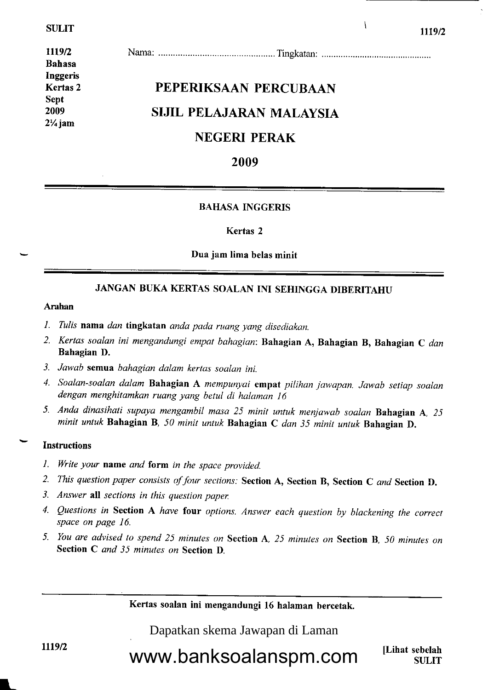Bahasa Inggeris Kertas 2 **Sept** 2009  $2\frac{1}{4}$  jam

### lll9l2 Nama: .............. ....... Tingkatan:

# PEPERIKSAAN PERCUBAAN SIJIL PELAJARAN MALAYSIA NEGERI PERAK

### 2009

#### **BAHASA INGGERIS**

#### Kertas 2

#### Dua jam lima belas minit

### JANGAN BUKA KERTAS SOALAN INI SEHINGGA DIBERITAHU

#### Arahan

- 1. Tulis nama dan tingkatan anda pada ruang yang disediakan.
- 2. Kertas soalan ini mengandungi empat bahagian: Bahagian A, Bahagian B, Bahagian C dan Bahagian D.
- 3. Jawab semua bahagian dalam kertas soalan ini\_
- 4. Soalan-soalan dalam Bahagian A mempunyai empat pilihan jawapan. Jawab setiap soalan dengan menghitamkan ruang yang betul di halaman 16
- 5. Anda dinasihati supaya mengambil masa 25 minit untuk menjawab soalan Bahagian A, 25 minit untuk Bahagian B, 50 minit untuk Bahagian C dan 35 minit untuk Bahagian D.

#### **Instructions**

- 1. Write your name and form in the space provided.
- 2. This question paper consists of four sections: Section A, Section B, Section C and Section D.
- 3. Answer all sections in this question paper
- 4. Questions in Section A have four options. Answer each question by blackening the correct space on page 16.
- 5. You are advised to spend 25 minutes on Section A, 25 minutes on Section B, 50 minutes on Section C and 35 minutes on Section D.

Kertas soalan ini mengandungi 16 halaman bercetak

Dapatkan skema Jawapan di Laman

 $\blacksquare$ 

www.banksoalanspm.com

[Lihat sebelah SULIT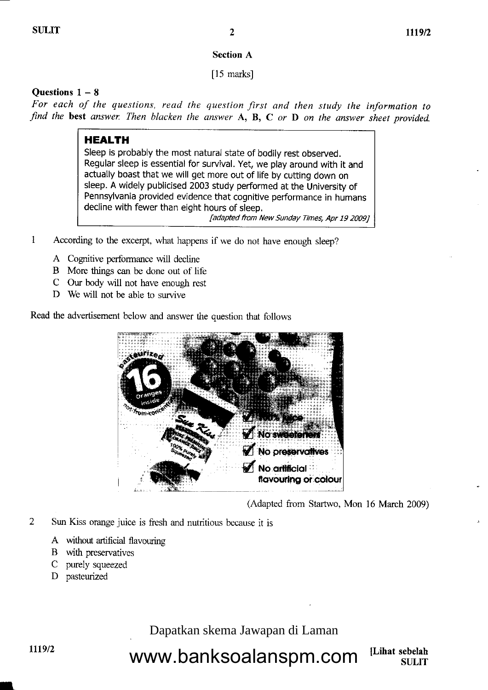#### Section A

[15 marks]

### Questions  $1 - 8$

For each of the questions, read the question first and then study the information to find the best answer. Then blacken the answer  $A$ ,  $B$ ,  $C$  or  $D$  on the answer sheet provided.

### HEALTH

Sleep is probably the most natural state of bodily rest observed. Regular sleep is essential for survival. Yet, we play around with it and actually boast that we will get more out of life by cutting down on sleep. A widely publicised 2003 study performed at the University of Pennsylvania provided evidence that cognitive performance in humans decline with fewer than eight hours of sleep, [adapted from New Sunday Times, Apr 19 2009]

 $\mathbf{1}$ According to the excerpt, what happens if we do not have enough sleep?

- A Cognitive performance will decline
- More things can be done out of life B
- Our body will not have enough rest
- We will not be able to survive D

Read the advertisement below and answer the question that follows



(Adapted from Startwo, Mon 16 March 2009)

**SULIT** 

- $\overline{2}$ Sun Kiss orange juice is fresh and nutritious because it is
	- A without artificial flavouring
	- B with preservatives
	- C purely squeezed
	- D pasteurized

Dapatkan skema Jawapan di Laman

l-

[Lihat sebelah www.banksoalanspm.com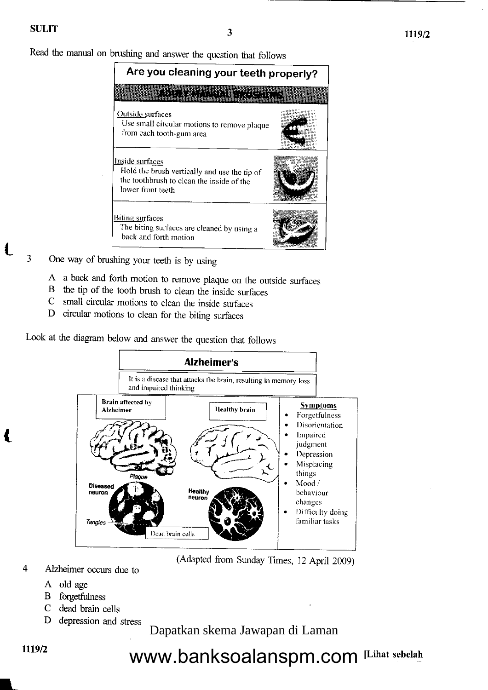Read the manual on brushing and answer the question that follows



- ٦ One way of brushing your teeth is by using
	- A a back and forth motion to remove plaque on the outside surfaces
	- B the tip of the tooth brush to clean the inside surfaces
	- C small circular motions to clean the inside surfaces
	- circular motions to clean for the biting surfaces D

Look at the diagram below and answer the question that follows



(Adapted from Sunday Times, 12 April 2009)

- $\overline{4}$ Alzheimer occurs due to
	- A old age
	- $\bf{B}$ forgetfulness
	- dead brain cells  $\mathbf C$
	- D depression and stress

Dapatkan skema Jawapan di Laman

#### [Lihat sebelah www.banksoalanspm.com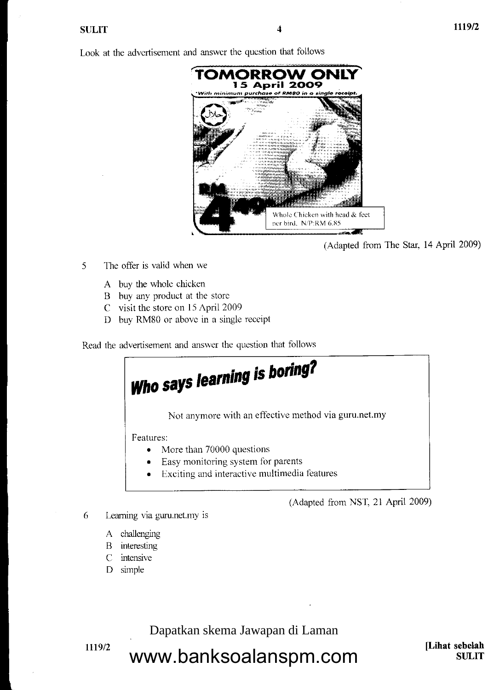

Look at the advertisement and answer the question that follows

(Adapted from The Star, 14 April 2009)

- 5 The offer is valid when we
	- buy the whole chicken  $\mathbf{A}$
	- B buy any product at the store
	- C visit the store on  $15$  April 2009
	- D buy RM80 or above in a single receipt

Read the advertisement and answer the question that follows



(Adapted from NST, 21 April 2009)

6 Learning via guru.net.my is

- A challenging
- **B** interesting
- C intensive
- D simple

Dapatkan skema Jawapan di Laman

1119/2

www.banksoalanspm.com

[Lihat sebelah] **SULIT**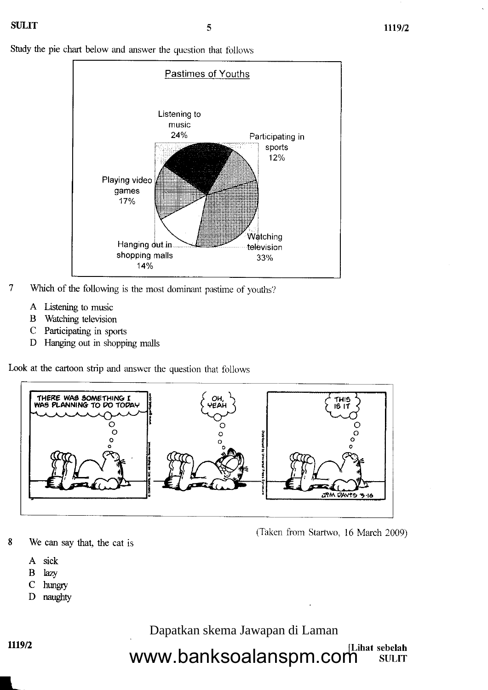



- 7 Which of the following is the most dominant pastime of youths?
	- A Listening to music
	- B Watching television
	- C Participating in sports
	- D Hanging out in shopping malls

Look at the cartoon strip and answer the question that follows



(Taken from Startwo, 16 March 2009)

[Lihat sebelah

SULIT

- 8 We can say that, the cat is
	- A sick
	- **B** lazy
	- C hwgry
	- D naughty

Dapatkan skema Jawapan di Laman

www.banksoalanspm.com

1119/2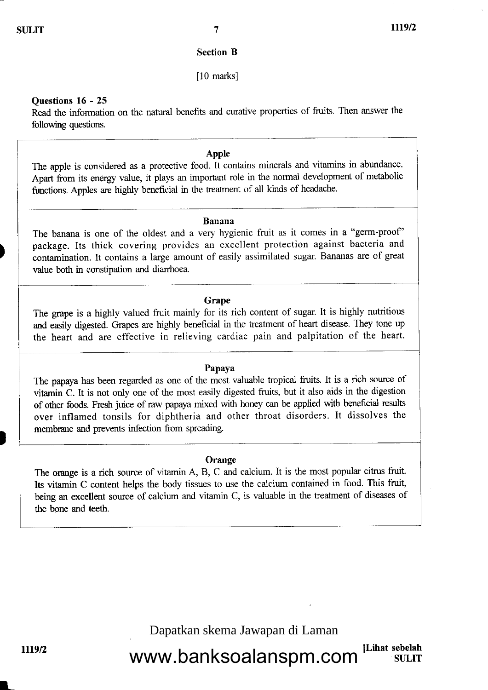[Lihat sebelah

**SULIT** 

#### Section B

#### [10 marks]

#### Questions 16 - 25

Read the information on the natural benefits and curative properties of fruits. Then answer the following questions.

#### Apple

The apple is considered as a protective food. It contains minerals and vitamins in abundance. Apart from its energy value, it plays an important role in the normal development of metabolic functions. Apples are highly beneficial in the treatment of all kinds of headache.

#### Banana

The banana is one of the oldest and a very hygienic fruit as it comes in a "germ-proof' package. Its thick covering provides an excellent protection against bacteria and contamination. It contains a large amount of easily assimilated sugar. Bananas are of great value both in constipation and diarrhoea.

#### Grape

The grape is a highly valued fruit mainly for its rich content of sugar. It is highly nutritious and easily digested. Grapes are highly beneficial in the treatrnent of heart disease. They tone up the heart and are effective in relieving cardiac pain and palpitation of the heart.

#### Papaya

The papaya has been regarded as one of the most valuable tropical fruits. It is a rich source of vitamin C. It is not only one of the most easily digested fruits, but it also aids in the digestion of other foods. Fresh juice of raw papaya mixed with honey can be applied with beneficial results over inflamed tonsils for diphtheria and other throat disorders. It dissolves the membrane and prevents infection from spreading.

#### **Orange**

The orange is a rich source of vitamin A, B, C and calcium. It is the most popular citrus fruit. Its vitamin C content helps the body tissues to use the calcium contained in food. This fiuit, being an excellent source of calcium and vitamin  $C$ , is valuable in the treatment of diseases of the bone and teeth.

Dapatkan skema Jawapan di Laman

1119/2

I

I

www.banksoalanspm.com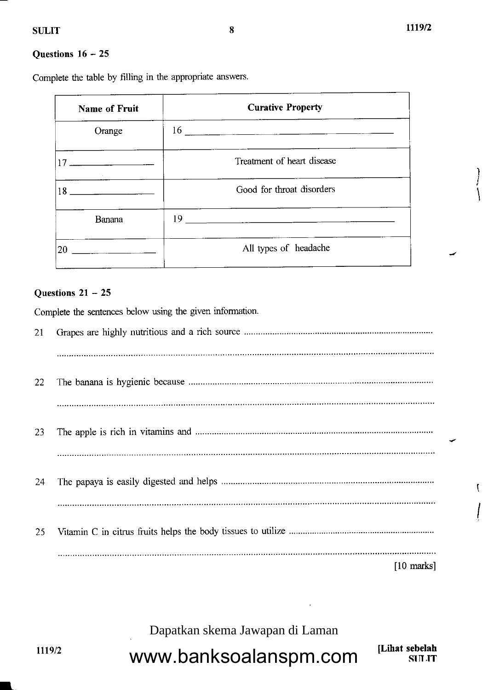$\cdot$ 

## Questions 16 - 25

Complete the table by filling in the appropriate answers.

| Name of Fruit                                                                                                                  | <b>Curative Property</b>                                                  |  |  |  |
|--------------------------------------------------------------------------------------------------------------------------------|---------------------------------------------------------------------------|--|--|--|
| Orange                                                                                                                         | 16                                                                        |  |  |  |
| $17 \longrightarrow$                                                                                                           | Treatment of heart disease                                                |  |  |  |
| $18 -$<br><u> 2000 - 2000 - 2000 - 2000 - 2000 - 2000 - 2000 - 2000 - 2000 - 2000 - 2000 - 2000 - 2000 - 2000 - 2000 - 200</u> | Good for throat disorders                                                 |  |  |  |
| Banana                                                                                                                         | 19 <sup>7</sup><br><u> 1980 - Jan Barnett, fransk politiker (d. 1980)</u> |  |  |  |
| 20<br><u> 1980 - Jan Alexandria III, martx</u>                                                                                 | All types of headache                                                     |  |  |  |

### Questions  $21 - 25$

Complete the sentences below using the given information.

| 21 |            |  |
|----|------------|--|
|    |            |  |
| 22 |            |  |
|    |            |  |
| 23 |            |  |
|    |            |  |
| 24 |            |  |
|    |            |  |
|    |            |  |
| 25 |            |  |
|    | [10 marks] |  |

Dapatkan skema Jawapan di Laman

I

www.banksoalanspm.com

[Lihat sebelah SIII.IT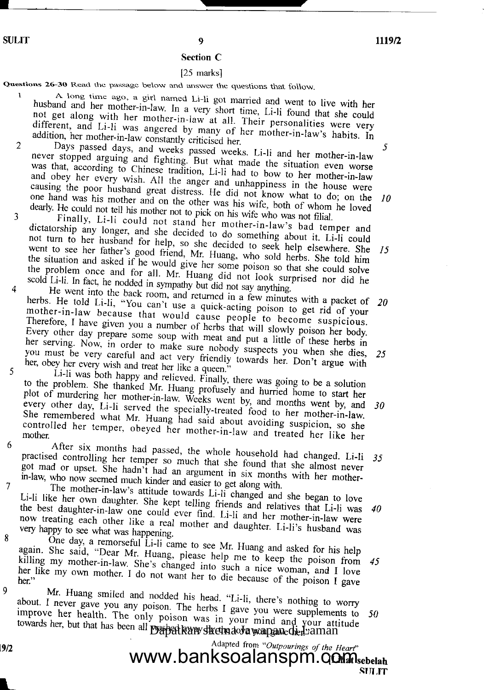**SULIT** 

 $\mathbf{I}$ 

### 9

#### **Section C**

#### $[25$  marks]

Questions 26-30 Read the passage below and answer the questions that follow.

A long time ago, a girl named Li-li got married and went to live with her husband and her mother-in-law. In a very short time, Li-li found that she could not get along with her mother-in-law at all. Their personalities were very different, and Li-li was angered by many of her mother-in-law's habits. In addition, her mother-in-law constantly criticised her.

- Days passed days, and weeks passed weeks. Li-li and her mother-in-law  $\overline{2}$ never stopped arguing and fighting. But what made the situation even worse was that, according to Chinese tradition, Li-li had to bow to her mother-in-law and obey her every wish. All the anger and unhappiness in the house were causing the poor husband great distress. He did not know what to do; on the one hand was his mother and on the other was his wife, both of whom he loved dearly. He could not tell his mother not to pick on his wife who was not filial.
- 3 Finally, Li-li could not stand her mother-in-law's bad temper and dictatorship any longer, and she decided to do something about it. Li-li could not turn to her husband for help, so she decided to seek help elsewhere. She went to see her father's good friend, Mr. Huang, who sold herbs. She told him 15 the situation and asked if he would give her some poison so that she could solve the problem once and for all. Mr. Huang did not look surprised nor did he scold Li-li. In fact, he nodded in sympathy but did not say anything.  $\overline{4}$
- He went into the back room, and returned in a few minutes with a packet of herbs. He told Li-li, "You can't use a quick-acting poison to get rid of your -20 mother-in-law because that would cause people to become suspicious. Therefore, I have given you a number of herbs that will slowly poison her body. Every other day prepare some soup with meat and put a little of these herbs in her serving. Now, in order to make sure nobody suspects you when she dies, you must be very careful and act very friendly towards her. Don't argue with 25 her, obey her every wish and treat her like a queen."  $\mathcal{S}$
- Li-li was both happy and relieved. Finally, there was going to be a solution to the problem. She thanked Mr. Huang profusely and hurried home to start her plot of murdering her mother-in-law. Weeks went by, and months went by, and every other day, Li-li served the specially-treated food to her mother-in-law. -30 She remembered what Mr. Huang had said about avoiding suspicion, so she controlled her temper, obeyed her mother-in-law and treated her like her
- 6 After six months had passed, the whole household had changed. Li-li practised controlling her temper so much that she found that she almost never got mad or upset. She hadn't had an argument in six months with her motherin-law, who now seemed much kinder and easier to get along with. 7
- The mother-in-law's attitude towards Li-li changed and she began to love Li-li like her own daughter. She kept telling friends and relatives that Li-li was the best daughter-in-law one could ever find. Li-li and her mother-in-law were -40 now treating each other like a real mother and daughter. Li-li's husband was very happy to see what was happening. 8

One day, a remorseful Li-li came to see Mr. Huang and asked for his help again. She said, "Dear Mr. Huang, please help me to keep the poison from killing my mother-in-law. She's changed into such a nice woman, and I love 45 her like my own mother. I do not want her to die because of the poison I gave

Mr. Huang smiled and nodded his head. "Li-li, there's nothing to worry about. I never gave you any poison. The herbs I gave you were supplements to improve her health. The only poison was in your mind and your attitude -50 towards her, but that has been all prashed RYAV six cha do Ja wappane died "aman

Adapted from "Outpourings of the Heart"

1119/2

- 10

5

35

**SULIT** 

WWW.banksoalanspm.qomsebelah

 $9/2$ 

 $\mathbf Q$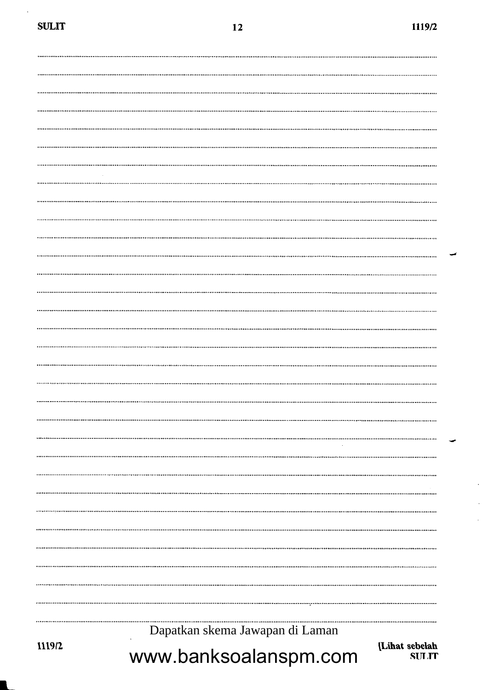**SULIT** 

| 1119/2 | Dapatkan skema Jawapan di Laman<br>$\bar{\mathbf{z}}$<br>www.banksoalanspm.com | [Lihat sebelah<br><b>SULIT</b> |
|--------|--------------------------------------------------------------------------------|--------------------------------|
|        |                                                                                |                                |
|        |                                                                                |                                |
|        |                                                                                |                                |
|        |                                                                                |                                |
|        |                                                                                |                                |
|        |                                                                                |                                |
|        |                                                                                |                                |
|        |                                                                                |                                |
|        |                                                                                |                                |
|        |                                                                                |                                |
|        |                                                                                |                                |
|        |                                                                                |                                |
|        |                                                                                |                                |
|        |                                                                                |                                |
|        |                                                                                |                                |
|        |                                                                                |                                |
|        |                                                                                |                                |
|        |                                                                                |                                |
|        |                                                                                |                                |
|        |                                                                                |                                |
|        |                                                                                |                                |
|        |                                                                                |                                |
|        |                                                                                |                                |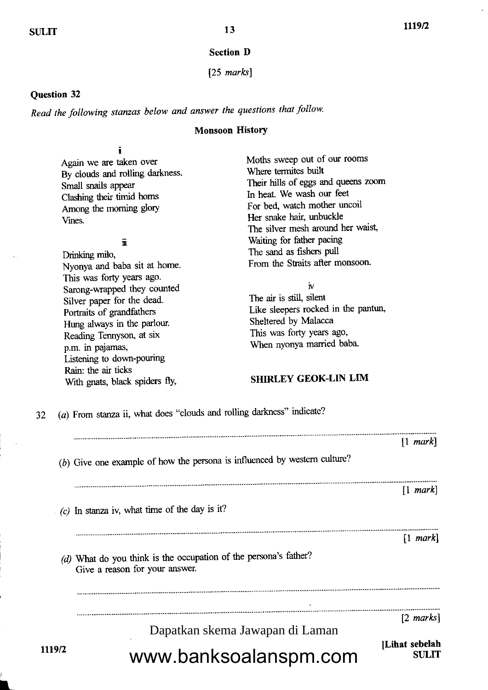l\_

### Section D

 $[25$  marks]

### Question 32

Read the following stanzas below and answer the questions that follow.

### Monsoon HistorY

| Again we are taken over         | Moths sweep out of our rooms        |
|---------------------------------|-------------------------------------|
| By clouds and rolling darkness. | Where termites built                |
| Small snails appear             | Their hills of eggs and queens zoom |
| Clashing their timid horns      | In heat. We wash our feet           |
| Among the morning glory         | For bed, watch mother uncoil        |
| Vines.                          | Her snake hair, unbuckle            |
|                                 | The silver mesh around her waist,   |
| m                               | Waiting for father pacing           |
| Drinking milo,                  | The sand as fishers pull            |
| Nyonya and baba sit at home.    | From the Straits after monsoon.     |
| This was forty years ago.       |                                     |
| Sarong-wrapped they counted     | $\mathbf{\dot{N}}$                  |
| Silver paper for the dead.      | The air is still, silent            |
| Portraits of grandfathers       | Like sleepers rocked in the pantun, |
| Hung always in the parlour.     | Sheltered by Malacca                |
| Reading Tennyson, at six        | This was forty years ago,           |
| p.m. in pajamas,                | When nyonya married baba.           |
| Listening to down-pouring       |                                     |
| Rain: the air ticks             |                                     |
| With gnats, black spiders fly,  | SHIRLEY GEOK-LIN LIM                |

32 (a) From stanza ii, what does "clouds and rolling darkness" indicate?

|        |                                                                                                    | $\lceil$ mark                   |
|--------|----------------------------------------------------------------------------------------------------|---------------------------------|
|        | (b) Give one example of how the persona is influenced by western culture?                          |                                 |
|        |                                                                                                    | $[1 \; mark]$                   |
|        | $(c)$ In stanza iv, what time of the day is it?                                                    |                                 |
|        |                                                                                                    | $\lfloor$ mark                  |
|        | (d) What do you think is the occupation of the persona's father?<br>Give a reason for your answer. |                                 |
|        |                                                                                                    | $[2 \text{ marks}]$             |
|        | Dapatkan skema Jawapan di Laman                                                                    |                                 |
| 1119/2 | www.banksoalanspm.com                                                                              | [Lihat sebelah]<br><b>SULIT</b> |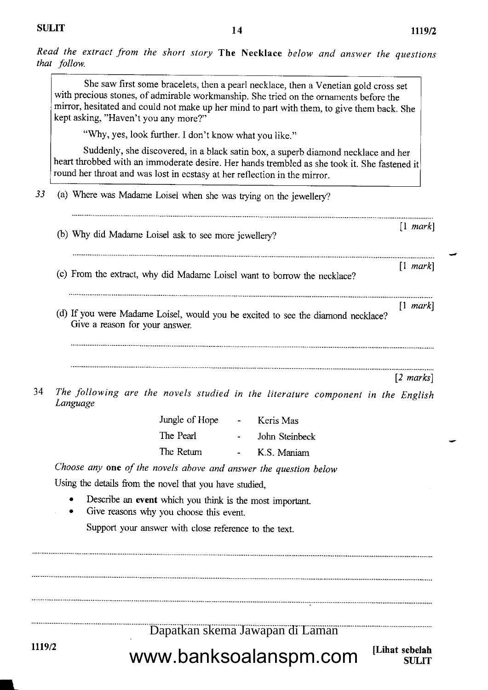Read the extract from the short story The Necklace below and answer the questions that follow.

| 1119/2 | Dapatkan skema Jawapan di Laman<br>[Lihat sebelah<br>www.banksoalanspm.com<br><b>SULIT</b>                                                                                                                                                                                                                         |
|--------|--------------------------------------------------------------------------------------------------------------------------------------------------------------------------------------------------------------------------------------------------------------------------------------------------------------------|
|        |                                                                                                                                                                                                                                                                                                                    |
|        | Support your answer with close reference to the text.                                                                                                                                                                                                                                                              |
|        | Describe an event which you think is the most important.<br>Give reasons why you choose this event.                                                                                                                                                                                                                |
|        | Using the details from the novel that you have studied,                                                                                                                                                                                                                                                            |
|        | Choose any one of the novels above and answer the question below                                                                                                                                                                                                                                                   |
|        | The Return<br>K.S. Maniam                                                                                                                                                                                                                                                                                          |
|        | The Pearl<br>John Steinbeck                                                                                                                                                                                                                                                                                        |
|        | Jungle of Hope - Keris Mas                                                                                                                                                                                                                                                                                         |
| 34     | The following are the novels studied in the literature component in the English<br>Language                                                                                                                                                                                                                        |
|        | $\lceil 2 \text{ marks} \rceil$                                                                                                                                                                                                                                                                                    |
|        | Give a reason for your answer.                                                                                                                                                                                                                                                                                     |
|        | $\lceil 1 \text{ mark} \rceil$<br>(d) If you were Madame Loisel, would you be excited to see the diamond necklace?                                                                                                                                                                                                 |
|        | $\lceil \ln \text{mark} \rceil$<br>(c) From the extract, why did Madame Loisel want to borrow the necklace?                                                                                                                                                                                                        |
|        | (b) Why did Madame Loisel ask to see more jewellery?                                                                                                                                                                                                                                                               |
|        | $\lceil$ mark                                                                                                                                                                                                                                                                                                      |
| 33     | (a) Where was Madame Loisel when she was trying on the jewellery?                                                                                                                                                                                                                                                  |
|        | Suddenly, she discovered, in a black satin box, a superb diamond necklace and her<br>heart throbbed with an immoderate desire. Her hands trembled as she took it. She fastened it<br>round her throat and was lost in ecstasy at her reflection in the mirror.                                                     |
|        | "Why, yes, look further. I don't know what you like."                                                                                                                                                                                                                                                              |
|        | She saw first some bracelets, then a pearl necklace, then a Venetian gold cross set<br>with precious stones, of admirable workmanship. She tried on the ornaments before the<br>mirror, hesitated and could not make up her mind to part with them, to give them back. She<br>kept asking, "Haven't you any more?" |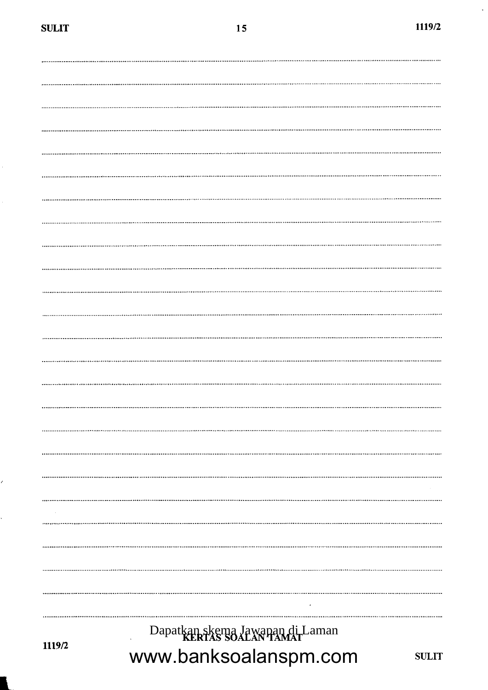**SULIT** 

 $\hat{\boldsymbol{\gamma}}$ 

ź

 $\downarrow$ 

|        | Dapatkan skema Jawanan di Laman |              |
|--------|---------------------------------|--------------|
| 1119/2 |                                 |              |
|        | www.banksoalanspm.com           | <b>SULIT</b> |
|        |                                 |              |